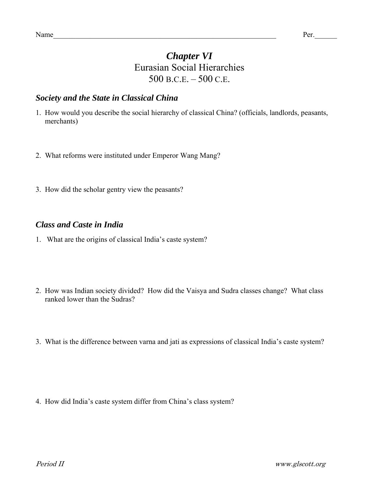## *Chapter VI*  Eurasian Social Hierarchies 500 B.C.E. – 500 C.E.

### *Society and the State in Classical China*

- 1. How would you describe the social hierarchy of classical China? (officials, landlords, peasants, merchants)
- 2. What reforms were instituted under Emperor Wang Mang?
- 3. How did the scholar gentry view the peasants?

#### *Class and Caste in India*

- 1. What are the origins of classical India's caste system?
- 2. How was Indian society divided? How did the Vaisya and Sudra classes change? What class ranked lower than the Sudras?
- 3. What is the difference between varna and jati as expressions of classical India's caste system?

4. How did India's caste system differ from China's class system?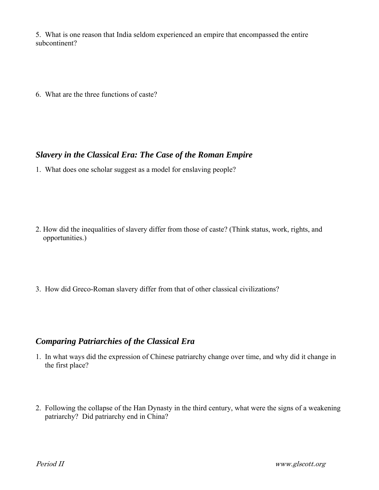5. What is one reason that India seldom experienced an empire that encompassed the entire subcontinent?

6. What are the three functions of caste?

### *Slavery in the Classical Era: The Case of the Roman Empire*

1. What does one scholar suggest as a model for enslaving people?

- 2. How did the inequalities of slavery differ from those of caste? (Think status, work, rights, and opportunities.)
- 3. How did Greco-Roman slavery differ from that of other classical civilizations?

#### *Comparing Patriarchies of the Classical Era*

- 1. In what ways did the expression of Chinese patriarchy change over time, and why did it change in the first place?
- 2. Following the collapse of the Han Dynasty in the third century, what were the signs of a weakening patriarchy? Did patriarchy end in China?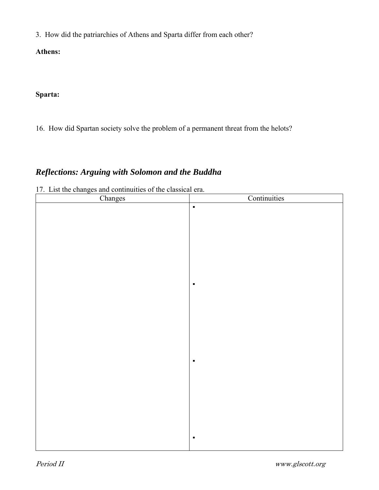3. How did the patriarchies of Athens and Sparta differ from each other?

**Athens:** 

**Sparta:** 

16. How did Spartan society solve the problem of a permanent threat from the helots?

# *Reflections: Arguing with Solomon and the Buddha*

17. List the changes and continuities of the classical era.

| Changes | Continuities   |
|---------|----------------|
|         | $\blacksquare$ |
|         |                |
|         |                |
|         |                |
|         |                |
|         |                |
|         |                |
|         |                |
|         | $\blacksquare$ |
|         |                |
|         |                |
|         |                |
|         |                |
|         |                |
|         |                |
|         |                |
|         |                |
|         | $\blacksquare$ |
|         |                |
|         |                |
|         |                |
|         |                |
|         |                |
|         |                |
|         |                |
|         | $\blacksquare$ |
|         |                |